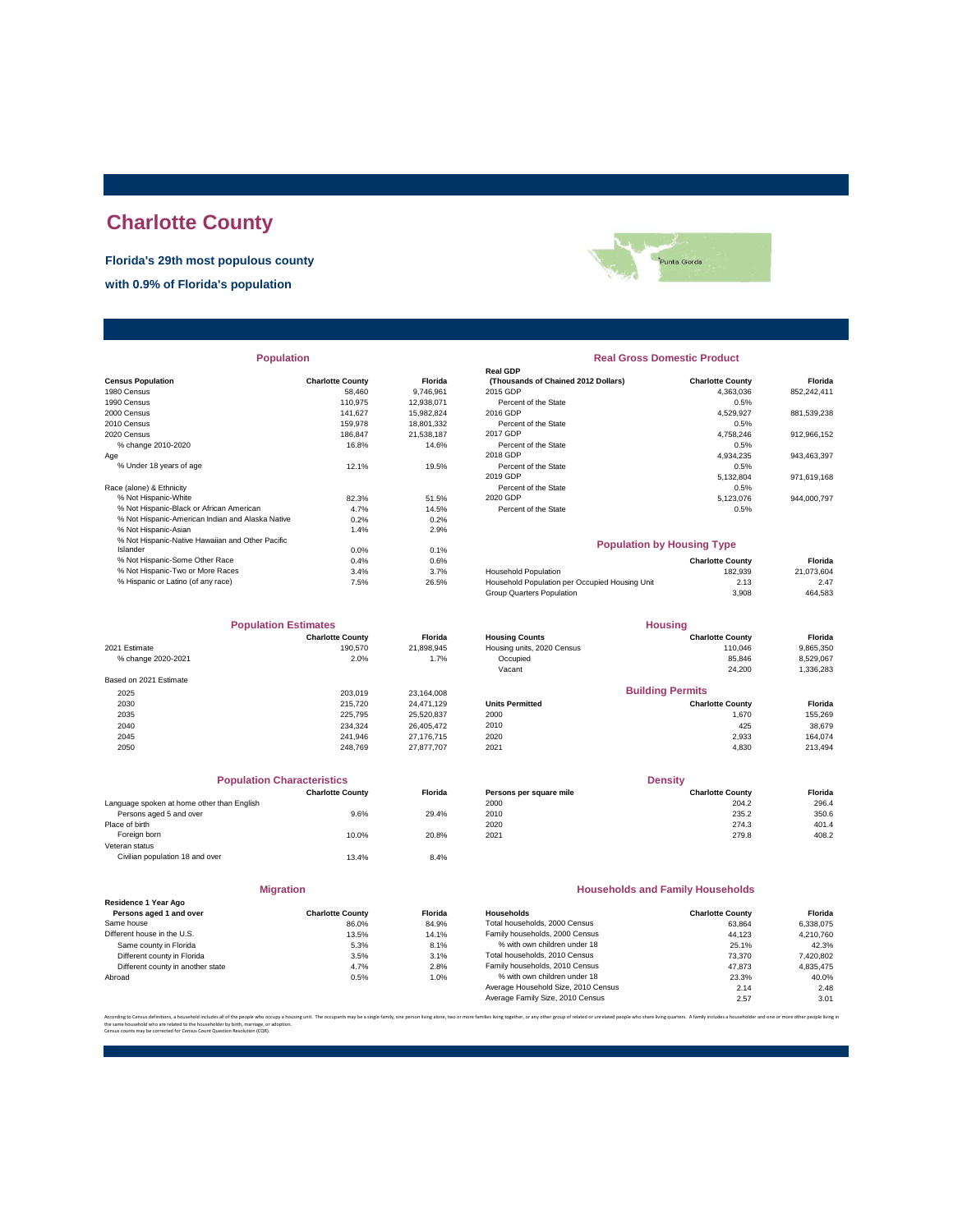# **Charlotte County**

**Florida's 29th most populous county**

**with 0.9% of Florida's population**



| <b>Population</b> |  |
|-------------------|--|
|-------------------|--|

| <b>Census Population</b>                         | <b>Charlotte County</b> | Florida    | (Thousands of Chained 2012 Dollars)            | <b>Charlotte County</b> | Florida     |
|--------------------------------------------------|-------------------------|------------|------------------------------------------------|-------------------------|-------------|
| 1980 Census                                      | 58,460                  | 9.746.961  | 2015 GDP                                       | 4,363,036               | 852,242,411 |
| 1990 Census                                      | 110.975                 | 12,938,071 | Percent of the State                           | 0.5%                    |             |
| 2000 Census                                      | 141.627                 | 15,982,824 | 2016 GDP                                       | 4,529,927               | 881,539,238 |
| 2010 Census                                      | 159,978                 | 18,801,332 | Percent of the State                           | 0.5%                    |             |
| 2020 Census                                      | 186.847                 | 21.538.187 | 2017 GDP                                       | 4,758,246               | 912,966,152 |
| % change 2010-2020                               | 16.8%                   | 14.6%      | Percent of the State                           | 0.5%                    |             |
| Age                                              |                         |            | 2018 GDP                                       | 4,934,235               | 943,463,397 |
| % Under 18 years of age                          | 12.1%                   | 19.5%      | Percent of the State                           | 0.5%                    |             |
|                                                  |                         |            | 2019 GDP                                       | 5,132,804               | 971,619,168 |
| Race (alone) & Ethnicity                         |                         |            | Percent of the State                           | 0.5%                    |             |
| % Not Hispanic-White                             | 82.3%                   | 51.5%      | 2020 GDP                                       | 5,123,076               | 944,000,797 |
| % Not Hispanic-Black or African American         | 4.7%                    | 14.5%      | Percent of the State                           | 0.5%                    |             |
| % Not Hispanic-American Indian and Alaska Native | 0.2%                    | 0.2%       |                                                |                         |             |
| % Not Hispanic-Asian                             | 1.4%                    | 2.9%       |                                                |                         |             |
| % Not Hispanic-Native Hawaiian and Other Pacific |                         |            | <b>Population by Housing Type</b>              |                         |             |
| Islander                                         | 0.0%                    | 0.1%       |                                                |                         |             |
| % Not Hispanic-Some Other Race                   | 0.4%                    | 0.6%       |                                                | <b>Charlotte County</b> | Florida     |
| % Not Hispanic-Two or More Races                 | 3.4%                    | 3.7%       | <b>Household Population</b>                    | 182,939                 | 21,073,604  |
| % Hispanic or Latino (of any race)               | 7.5%                    | 26.5%      | Household Population per Occupied Housing Unit | 2.13                    | 2.47        |
|                                                  |                         |            |                                                |                         |             |

|                        | <b>Population Estimates</b> | <b>Housing</b> |                            |                         |           |
|------------------------|-----------------------------|----------------|----------------------------|-------------------------|-----------|
|                        | <b>Charlotte County</b>     | <b>Florida</b> | <b>Housing Counts</b>      | <b>Charlotte County</b> | Florida   |
| 2021 Estimate          | 190,570                     | 21,898,945     | Housing units, 2020 Census | 110.046                 | 9,865,350 |
| % change 2020-2021     | 2.0%                        | 1.7%           | Occupied                   | 85.846                  | 8,529,067 |
|                        |                             |                | Vacant                     | 24,200                  | 1,336,283 |
| Based on 2021 Estimate |                             |                |                            |                         |           |
| 2025                   | 203.019                     | 23,164,008     |                            | <b>Building Permits</b> |           |
| 2030                   | 215,720                     | 24.471.129     | <b>Units Permitted</b>     | <b>Charlotte County</b> | Florida   |
| 2035                   | 225,795                     | 25,520,837     | 2000                       | 1.670                   | 155,269   |
| 2040                   | 234.324                     | 26,405,472     | 2010                       | 425                     | 38,679    |
| 2045                   | 241.946                     | 27,176,715     | 2020                       | 2,933                   | 164.074   |
| 2050                   | 248.769                     | 27,877,707     | 2021                       | 4.830                   | 213,494   |

| <b>Population Characteristics</b>          |                         |                |
|--------------------------------------------|-------------------------|----------------|
|                                            | <b>Charlotte County</b> | <b>Florida</b> |
| Language spoken at home other than English |                         |                |
| Persons aged 5 and over                    | 9.6%                    | 29.4%          |
| Place of birth                             |                         |                |
| Foreign born                               | 10.0%                   | 20.8%          |
| Veteran status                             |                         |                |
| Civilian population 18 and over            | 13.4%                   | 8.4%           |
|                                            |                         |                |

| <b>Migration</b> |  |
|------------------|--|
|                  |  |

| Residence 1 Year Ago              |                         |         |
|-----------------------------------|-------------------------|---------|
| Persons aged 1 and over           | <b>Charlotte County</b> | Florida |
| Same house                        | 86.0%                   | 84.9%   |
| Different house in the U.S.       | 13.5%                   | 14.1%   |
| Same county in Florida            | 5.3%                    | 8.1%    |
| Different county in Florida       | 3.5%                    | 3.1%    |
| Different county in another state | 4.7%                    | 2.8%    |
| Abroad                            | 0.5%                    | 1.0%    |

| <b>Population</b> |                         |                |                                     | <b>Real Gross Domestic Product</b> |             |
|-------------------|-------------------------|----------------|-------------------------------------|------------------------------------|-------------|
|                   |                         |                | <b>Real GDP</b>                     |                                    |             |
|                   | <b>Charlotte County</b> | <b>Florida</b> | (Thousands of Chained 2012 Dollars) | <b>Charlotte County</b>            | Florida     |
|                   | 58,460                  | 9.746.961      | 2015 GDP                            | 4.363.036                          | 852,242,411 |
|                   | 110.975                 | 12.938.071     | Percent of the State                | 0.5%                               |             |
|                   | 141.627                 | 15.982.824     | 2016 GDP                            | 4.529.927                          | 881,539,238 |
|                   | 159,978                 | 18,801,332     | Percent of the State                | 0.5%                               |             |
|                   | 186.847                 | 21.538.187     | 2017 GDP                            | 4.758.246                          | 912,966,152 |
|                   | 16.8%                   | 14.6%          | Percent of the State                | 0.5%                               |             |
|                   |                         |                | 2018 GDP                            | 4.934.235                          | 943,463,397 |
|                   | 12.1%                   | 19.5%          | Percent of the State                | 0.5%                               |             |
|                   |                         |                | 2019 GDP                            | 5,132,804                          | 971.619.168 |
|                   |                         |                | Percent of the State                | 0.5%                               |             |
|                   | 82.3%                   | 51.5%          | 2020 GDP                            | 5.123.076                          | 944.000.797 |
| n                 | 4.7%                    | 14.5%          | Percent of the State                | 0.5%                               |             |
| ska Native        | 0.2%                    | 0.2%           |                                     |                                    |             |

## **Population by Housing Type**

| 0.4% | 0.6%  |                                                | <b>Charlotte County</b> | Florida    |
|------|-------|------------------------------------------------|-------------------------|------------|
| 3.4% | 3.7%  | <b>Household Population</b>                    | 182.939                 | 21.073.604 |
| 7.5% | 26.5% | Household Population per Occupied Housing Unit | 2.13                    | 2.47       |
|      |       | Group Quarters Population                      | 3.908                   | 464.583    |
|      |       |                                                |                         |            |

| <b>Population Estimates</b> |                         | <b>Housing</b> |                            |                         |           |
|-----------------------------|-------------------------|----------------|----------------------------|-------------------------|-----------|
|                             | <b>Charlotte County</b> | <b>Florida</b> | <b>Housing Counts</b>      | <b>Charlotte County</b> | Florida   |
| 2021 Estimate               | 190,570                 | 21.898.945     | Housing units, 2020 Census | 110.046                 | 9,865,350 |
| % change 2020-2021          | 2.0%                    | 1.7%           | Occupied                   | 85.846                  | 8,529,067 |
|                             |                         |                | Vacant                     | 24,200                  | 1,336,283 |
| Based on 2021 Estimate      |                         |                |                            |                         |           |
| 2025                        | 203.019                 | 23.164.008     |                            | <b>Building Permits</b> |           |
| 2030                        | 215,720                 | 24.471.129     | <b>Units Permitted</b>     | <b>Charlotte County</b> | Florida   |
| 2035                        | 225.795                 | 25,520,837     | 2000                       | 1.670                   | 155,269   |
| 2040                        | 234.324                 | 26.405.472     | 2010                       | 425                     | 38,679    |
| 2045                        | 241.946                 | 27.176.715     | 2020                       | 2,933                   | 164.074   |
|                             |                         |                |                            |                         | .         |

| <b>Population Characteristics</b> |         |                         | <b>Density</b>          |         |  |
|-----------------------------------|---------|-------------------------|-------------------------|---------|--|
| <b>Charlotte County</b>           | Florida | Persons per square mile | <b>Charlotte County</b> | Florida |  |
|                                   |         | 2000                    | 204.2                   | 296.4   |  |
| 9.6%                              | 29.4%   | 2010                    | 235.2                   | 350.6   |  |
|                                   |         | 2020                    | 274.3                   | 401.4   |  |
| 10.0%                             | 20.8%   | 2021                    | 279.8                   | 408.2   |  |
|                                   |         |                         |                         |         |  |

## **Households and Family Households**

| <b>Charlotte County</b> | <b>Florida</b> | Households                          | <b>Charlotte County</b> | Florida   |
|-------------------------|----------------|-------------------------------------|-------------------------|-----------|
| 86.0%                   | 84.9%          | Total households, 2000 Census       | 63.864                  | 6.338.075 |
| 13.5%                   | 14.1%          | Family households, 2000 Census      | 44.123                  | 4.210.760 |
| 5.3%                    | 8.1%           | % with own children under 18        | 25.1%                   | 42.3%     |
| 3.5%                    | 3.1%           | Total households, 2010 Census       | 73,370                  | 7,420,802 |
| 4.7%                    | 2.8%           | Family households, 2010 Census      | 47.873                  | 4.835.475 |
| 0.5%                    | 1.0%           | % with own children under 18        | 23.3%                   | 40.0%     |
|                         |                | Average Household Size, 2010 Census | 2.14                    | 2.48      |
|                         |                | Average Family Size, 2010 Census    | 2.57                    | 3.01      |
|                         |                |                                     |                         |           |

re families living together, or any other group of related or unrelated people who share living quarters. A family includes a householder and one or more other people I the same household who are related to the householder by birth, marriage, or adoption. Census counts may be corrected for Census Count Question Resolution (CQR).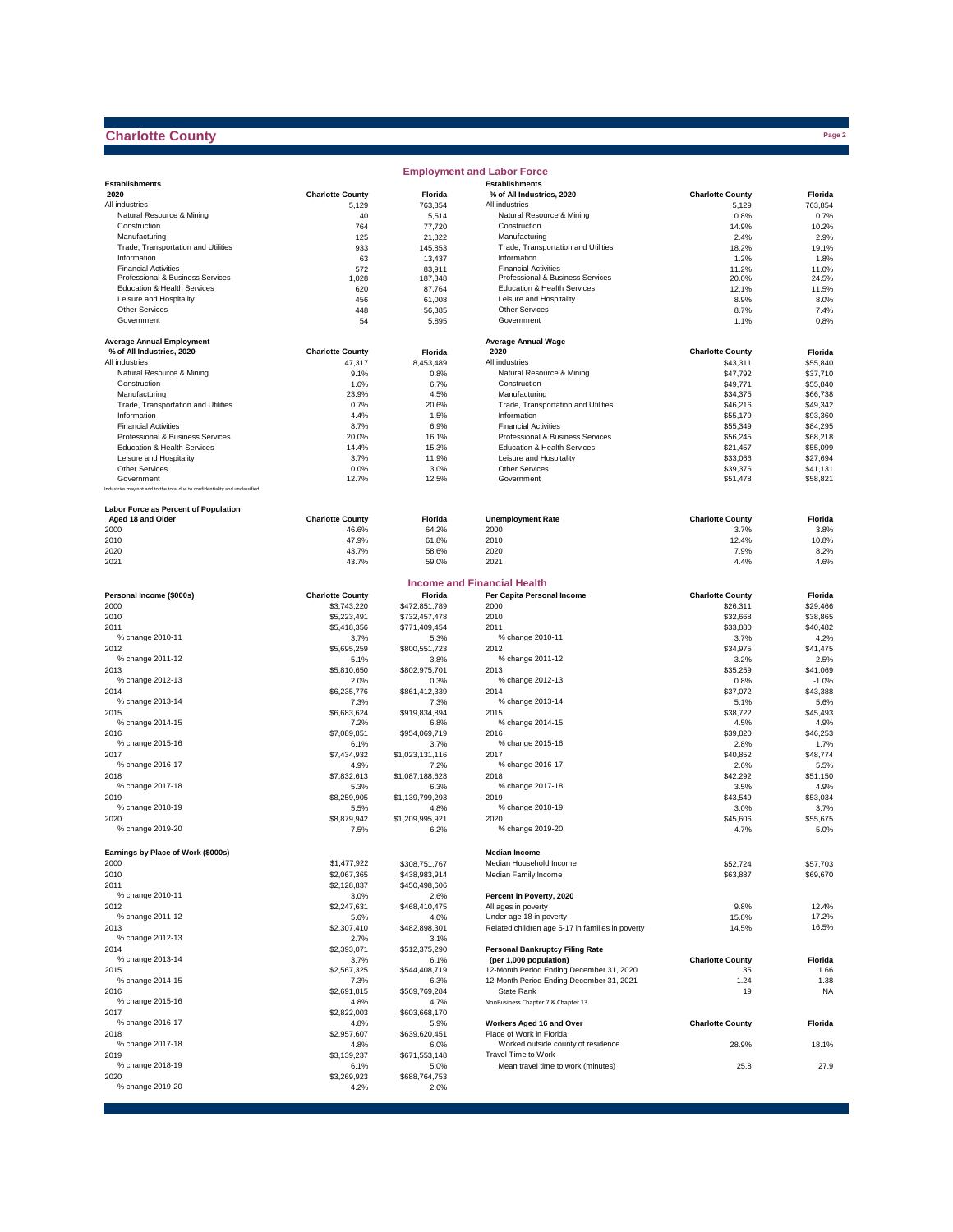## **Charlotte County**

|                                                                              |                         |                         | <b>Employment and Labor Force</b>                                           |                         |                  |
|------------------------------------------------------------------------------|-------------------------|-------------------------|-----------------------------------------------------------------------------|-------------------------|------------------|
| <b>Establishments</b>                                                        |                         |                         | <b>Establishments</b>                                                       |                         |                  |
| 2020                                                                         | <b>Charlotte County</b> | Florida                 | % of All Industries, 2020                                                   | <b>Charlotte County</b> | Florida          |
| All industries                                                               | 5,129                   | 763,854                 | All industries                                                              | 5,129                   | 763,854          |
| Natural Resource & Mining                                                    | 40                      | 5,514                   | Natural Resource & Mining                                                   | 0.8%                    | 0.7%             |
| Construction                                                                 | 764                     | 77,720                  | Construction                                                                | 14.9%                   | 10.2%            |
| Manufacturing                                                                | 125                     | 21,822                  | Manufacturing                                                               | 2.4%                    | 2.9%             |
| Trade, Transportation and Utilities<br>Information                           | 933                     | 145,853                 | Trade, Transportation and Utilities<br>Information                          | 18.2%                   | 19.1%            |
| <b>Financial Activities</b>                                                  | 63                      | 13,437                  | <b>Financial Activities</b>                                                 | 1.2%                    | 1.8%             |
| Professional & Business Services                                             | 572<br>1,028            | 83,911<br>187,348       | Professional & Business Services                                            | 11.2%<br>20.0%          | 11.0%<br>24.5%   |
| Education & Health Services                                                  | 620                     | 87,764                  | Education & Health Services                                                 | 12.1%                   | 11.5%            |
| Leisure and Hospitality                                                      | 456                     | 61,008                  | Leisure and Hospitality                                                     | 8.9%                    | 8.0%             |
| <b>Other Services</b>                                                        | 448                     | 56,385                  | Other Services                                                              | 8.7%                    | 7.4%             |
| Government                                                                   | 54                      | 5,895                   | Government                                                                  | 1.1%                    | 0.8%             |
|                                                                              |                         |                         |                                                                             |                         |                  |
| <b>Average Annual Employment</b>                                             |                         |                         | <b>Average Annual Wage</b>                                                  |                         |                  |
| % of All Industries, 2020                                                    | <b>Charlotte County</b> | Florida                 | 2020                                                                        | <b>Charlotte County</b> | Florida          |
| All industries                                                               | 47,317                  | 8,453,489               | All industries                                                              | \$43,311                | \$55,840         |
| Natural Resource & Mining                                                    | 9.1%                    | 0.8%                    | Natural Resource & Mining                                                   | \$47,792                | \$37,710         |
| Construction                                                                 | 1.6%                    | 6.7%                    | Construction                                                                | \$49,771                | \$55,840         |
| Manufacturing                                                                | 23.9%                   | 4.5%                    | Manufacturing                                                               | \$34,375                | \$66,738         |
| Trade, Transportation and Utilities                                          | 0.7%                    | 20.6%                   | Trade, Transportation and Utilities                                         | \$46,216                | \$49,342         |
| Information                                                                  | 4.4%                    | 1.5%                    | Information                                                                 | \$55,179                | \$93,360         |
| <b>Financial Activities</b>                                                  | 8.7%                    | 6.9%                    | <b>Financial Activities</b>                                                 | \$55,349                | \$84,295         |
| Professional & Business Services                                             | 20.0%                   | 16.1%                   | Professional & Business Services                                            | \$56,245                | \$68,218         |
| Education & Health Services                                                  | 14.4%                   | 15.3%                   | Education & Health Services                                                 | \$21,457                | \$55,099         |
| Leisure and Hospitality                                                      | 3.7%                    | 11.9%                   | Leisure and Hospitality                                                     | \$33,066                | \$27,694         |
| Other Services                                                               | 0.0%                    | 3.0%                    | Other Services                                                              | \$39,376                | \$41,131         |
| Government                                                                   | 12.7%                   | 12.5%                   | Government                                                                  | \$51,478                | \$58,821         |
| Industries may not add to the total due to confidentiality and unclassified. |                         |                         |                                                                             |                         |                  |
|                                                                              |                         |                         |                                                                             |                         |                  |
| Labor Force as Percent of Population                                         |                         |                         |                                                                             |                         |                  |
| Aged 18 and Older                                                            | <b>Charlotte County</b> | Florida                 | <b>Unemployment Rate</b>                                                    | <b>Charlotte County</b> | Florida          |
| 2000                                                                         | 46.6%                   | 64.2%                   | 2000                                                                        | 3.7%                    | 3.8%             |
| 2010                                                                         | 47.9%                   | 61.8%                   | 2010                                                                        | 12.4%                   | 10.8%            |
| 2020                                                                         | 43.7%                   | 58.6%                   | 2020                                                                        | 7.9%                    | 8.2%             |
| 2021                                                                         | 43.7%                   | 59.0%                   | 2021                                                                        | 4.4%                    | 4.6%             |
|                                                                              |                         |                         | <b>Income and Financial Health</b>                                          |                         |                  |
|                                                                              |                         |                         |                                                                             |                         |                  |
| Personal Income (\$000s)                                                     | <b>Charlotte County</b> | Florida                 | Per Capita Personal Income                                                  | <b>Charlotte County</b> | Florida          |
| 2000                                                                         | \$3,743,220             | \$472,851,789           | 2000                                                                        | \$26,311                | \$29,466         |
| 2010                                                                         | \$5,223,491             | \$732,457,478           | 2010                                                                        | \$32,668                | \$38,865         |
| 2011                                                                         | \$5,418,356             | \$771,409,454           | 2011                                                                        | \$33,880                | \$40,482         |
| % change 2010-11                                                             | 3.7%                    | 5.3%                    | % change 2010-11                                                            | 3.7%                    | 4.2%             |
| 2012                                                                         | \$5,695,259             | \$800,551,723           | 2012                                                                        | \$34,975                | \$41,475         |
| % change 2011-12                                                             | 5.1%                    | 3.8%                    | % change 2011-12                                                            | 3.2%                    | 2.5%             |
| 2013                                                                         | \$5,810,650             | \$802,975,701           | 2013                                                                        | \$35,259                | \$41,069         |
| % change 2012-13                                                             | 2.0%                    | 0.3%                    | % change 2012-13                                                            | 0.8%                    | $-1.0%$          |
| 2014                                                                         | \$6,235,776             | \$861,412,339           | 2014                                                                        | \$37,072                | \$43,388         |
| % change 2013-14                                                             | 7.3%                    | 7.3%                    | % change 2013-14                                                            | 5.1%                    | 5.6%             |
| 2015                                                                         | \$6,683,624             | \$919,834,894           | 2015                                                                        | \$38,722                | \$45,493         |
| % change 2014-15                                                             | 7.2%                    | 6.8%                    | % change 2014-15                                                            | 4.5%                    | 4.9%             |
| 2016                                                                         | \$7,089,851             | \$954,069,719           | 2016                                                                        | \$39,820                | \$46,253         |
| % change 2015-16                                                             | 6.1%                    | 3.7%                    | % change 2015-16                                                            | 2.8%                    | 1.7%             |
| 2017<br>% change 2016-17                                                     | \$7,434,932             | \$1,023,131,116         | 2017<br>% change 2016-17                                                    | \$40,852                | \$48,774         |
|                                                                              | 4.9%                    | 7.2%                    |                                                                             | 2.6%                    | 5.5%             |
| 2018<br>% change 2017-18                                                     | \$7,832,613             | \$1,087,188,628         | 2018<br>% change 2017-18                                                    | \$42,292                | \$51,150         |
|                                                                              | 5.3%                    | 6.3%                    | 2019                                                                        | 3.5%                    | 4.9%<br>\$53,034 |
| 2019<br>% change 2018-19                                                     | \$8,259,905             | \$1,139,799,293         | % change 2018-19                                                            | \$43,549                |                  |
|                                                                              | 5.5%                    | 4.8%                    | 2020                                                                        | 3.0%                    | 3.7%             |
| 2020<br>% change 2019-20                                                     | \$8,879,942<br>7.5%     | \$1,209,995,921<br>6.2% | % change 2019-20                                                            | \$45,606<br>4.7%        | \$55,675<br>5.0% |
|                                                                              |                         |                         |                                                                             |                         |                  |
| Earnings by Place of Work (\$000s)                                           |                         |                         | <b>Median Income</b>                                                        |                         |                  |
|                                                                              |                         |                         |                                                                             |                         |                  |
| 2000                                                                         | \$1,477,922             | \$308,751,767           | Median Household Income                                                     | \$52,724                | \$57,703         |
| 2010                                                                         | \$2,067,365             | \$438,983,914           | Median Family Income                                                        | \$63,887                | \$69,670         |
| 2011                                                                         | \$2,128,837             | \$450,498,606           |                                                                             |                         |                  |
| % change 2010-11                                                             | 3.0%                    | 2.6%                    | Percent in Poverty, 2020                                                    |                         |                  |
| 2012<br>% change 2011-12                                                     | \$2,247,631             | \$468,410,475           | All ages in poverty                                                         | 9.8%                    | 12.4%<br>17.2%   |
|                                                                              | 5.6%                    | 4.0%<br>\$482,898,301   | Under age 18 in poverty<br>Related children age 5-17 in families in poverty | 15.8%                   |                  |
| 2013<br>% change 2012-13                                                     | \$2,307,410             |                         |                                                                             | 14.5%                   | 16.5%            |
| 2014                                                                         | 2.7%<br>\$2,393,071     | 3.1%<br>\$512,375,290   |                                                                             |                         |                  |
| % change 2013-14                                                             | 3.7%                    | 6.1%                    | <b>Personal Bankruptcy Filing Rate</b><br>(per 1,000 population)            | <b>Charlotte County</b> | Florida          |
| 2015                                                                         |                         |                         | 12-Month Period Ending December 31, 2020                                    | 1.35                    | 1.66             |
| % change 2014-15                                                             | \$2,567,325<br>7.3%     | \$544,408,719<br>6.3%   | 12-Month Period Ending December 31, 2021                                    | 1.24                    | 1.38             |
| 2016                                                                         | \$2,691,815             | \$569,769,284           | State Rank                                                                  | 19                      | <b>NA</b>        |
| % change 2015-16                                                             | 4.8%                    | 4.7%                    | NonBusiness Chapter 7 & Chapter 13                                          |                         |                  |
| 2017                                                                         | \$2,822,003             | \$603,668,170           |                                                                             |                         |                  |
| % change 2016-17                                                             | 4.8%                    | 5.9%                    | Workers Aged 16 and Over                                                    | <b>Charlotte County</b> | Florida          |
| 2018                                                                         | \$2,957,607             | \$639,620,451           | Place of Work in Florida                                                    |                         |                  |
| % change 2017-18                                                             | 4.8%                    | 6.0%                    | Worked outside county of residence                                          | 28.9%                   | 18.1%            |
| 2019                                                                         | \$3,139,237             | \$671,553,148           | Travel Time to Work                                                         |                         |                  |
| % change 2018-19                                                             | 6.1%                    | 5.0%                    | Mean travel time to work (minutes)                                          | 25.8                    | 27.9             |
| 2020                                                                         | \$3,269,923             | \$688,764,753           |                                                                             |                         |                  |
| % change 2019-20                                                             | 4.2%                    | 2.6%                    |                                                                             |                         |                  |